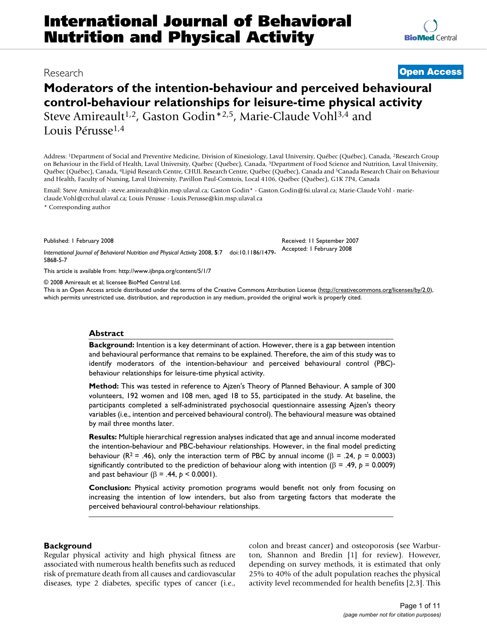# **Moderators of the intention-behaviour and perceived behavioural control-behaviour relationships for leisure-time physical activity** Steve Amireault<sup>1,2</sup>, Gaston Godin<sup>\*2,5</sup>, Marie-Claude Vohl<sup>3,4</sup> and

Louis Pérusse1,4

Address: <sup>1</sup>Department of Social and Preventive Medicine, Division of Kinesiology, Laval University, Québec (Québec), Canada, <sup>2</sup>Research Group on Behaviour in the Field of Health, Laval University, Québec (Québec), Canada, 3Department of Food Science and Nutrition, Laval University, Québec (Québec), Canada, <sup>4</sup>Lipid Research Centre, CHUL Research Centre, Québec (Québec), Canada and <sup>5</sup>Canada Research Chair on Behaviour and Health, Faculty of Nursing, Laval University, Pavillon Paul-Comtois, Local 4106, Québec (Québec), G1K 7P4, Canada

Email: Steve Amireault - steve.amireault@kin.msp.ulaval.ca; Gaston Godin\* - Gaston.Godin@fsi.ulaval.ca; Marie-Claude Vohl - marieclaude.Vohl@crchul.ulaval.ca; Louis Pérusse - Louis.Perusse@kin.msp.ulaval.ca

\* Corresponding author

Published: 1 February 2008

*International Journal of Behavioral Nutrition and Physical Activity* 2008, **5**:7 doi:10.1186/1479- 5868-5-7

[This article is available from: http://www.ijbnpa.org/content/5/1/7](http://www.ijbnpa.org/content/5/1/7)

© 2008 Amireault et al; licensee BioMed Central Ltd.

This is an Open Access article distributed under the terms of the Creative Commons Attribution License [\(http://creativecommons.org/licenses/by/2.0\)](http://creativecommons.org/licenses/by/2.0), which permits unrestricted use, distribution, and reproduction in any medium, provided the original work is properly cited.

#### **Abstract**

**Background:** Intention is a key determinant of action. However, there is a gap between intention and behavioural performance that remains to be explained. Therefore, the aim of this study was to identify moderators of the intention-behaviour and perceived behavioural control (PBC) behaviour relationships for leisure-time physical activity.

**Method:** This was tested in reference to Ajzen's Theory of Planned Behaviour. A sample of 300 volunteers, 192 women and 108 men, aged 18 to 55, participated in the study. At baseline, the participants completed a self-administrated psychosocial questionnaire assessing Ajzen's theory variables (i.e., intention and perceived behavioural control). The behavioural measure was obtained by mail three months later.

**Results:** Multiple hierarchical regression analyses indicated that age and annual income moderated the intention-behaviour and PBC-behaviour relationships. However, in the final model predicting behaviour ( $R^2 = .46$ ), only the interaction term of PBC by annual income ( $\beta = .24$ ,  $p = 0.0003$ ) significantly contributed to the prediction of behaviour along with intention (β = .49, *p* = 0.0009) and past behaviour (β = .44, *p* < 0.0001).

**Conclusion:** Physical activity promotion programs would benefit not only from focusing on increasing the intention of low intenders, but also from targeting factors that moderate the perceived behavioural control-behaviour relationships.

# **Background**

Regular physical activity and high physical fitness are associated with numerous health benefits such as reduced risk of premature death from all causes and cardiovascular diseases, type 2 diabetes, specific types of cancer (i.e., colon and breast cancer) and osteoporosis (see Warburton, Shannon and Bredin [1] for review). However, depending on survey methods, it is estimated that only 25% to 40% of the adult population reaches the physical activity level recommended for health benefits [2,3]. This

Received: 11 September 2007 Accepted: 1 February 2008

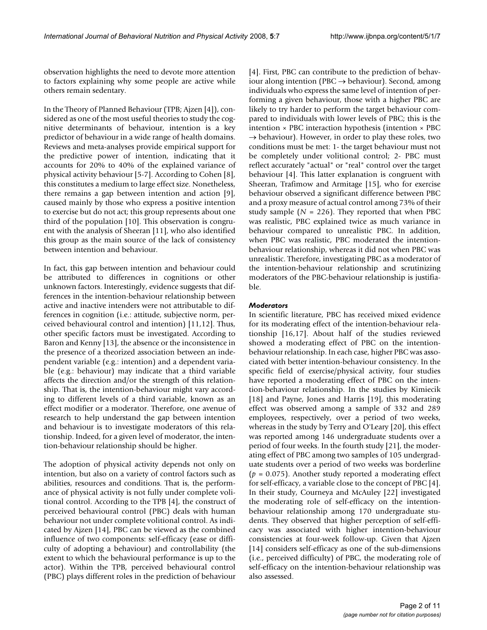observation highlights the need to devote more attention to factors explaining why some people are active while others remain sedentary.

In the Theory of Planned Behaviour (TPB; Ajzen [4]), considered as one of the most useful theories to study the cognitive determinants of behaviour, intention is a key predictor of behaviour in a wide range of health domains. Reviews and meta-analyses provide empirical support for the predictive power of intention, indicating that it accounts for 20% to 40% of the explained variance of physical activity behaviour [5-7]. According to Cohen [8], this constitutes a medium to large effect size. Nonetheless, there remains a gap between intention and action [9], caused mainly by those who express a positive intention to exercise but do not act; this group represents about one third of the population [10]. This observation is congruent with the analysis of Sheeran [11], who also identified this group as the main source of the lack of consistency between intention and behaviour.

In fact, this gap between intention and behaviour could be attributed to differences in cognitions or other unknown factors. Interestingly, evidence suggests that differences in the intention-behaviour relationship between active and inactive intenders were not attributable to differences in cognition (i.e.: attitude, subjective norm, perceived behavioural control and intention) [11,12]. Thus, other specific factors must be investigated. According to Baron and Kenny [13], the absence or the inconsistence in the presence of a theorized association between an independent variable (e.g.: intention) and a dependent variable (e.g.: behaviour) may indicate that a third variable affects the direction and/or the strength of this relationship. That is, the intention-behaviour might vary according to different levels of a third variable, known as an effect modifier or a moderator. Therefore, one avenue of research to help understand the gap between intention and behaviour is to investigate moderators of this relationship. Indeed, for a given level of moderator, the intention-behaviour relationship should be higher.

The adoption of physical activity depends not only on intention, but also on a variety of control factors such as abilities, resources and conditions. That is, the performance of physical activity is not fully under complete volitional control. According to the TPB [4], the construct of perceived behavioural control (PBC) deals with human behaviour not under complete volitional control. As indicated by Ajzen [14], PBC can be viewed as the combined influence of two components: self-efficacy (ease or difficulty of adopting a behaviour) and controllability (the extent to which the behavioural performance is up to the actor). Within the TPB, perceived behavioural control (PBC) plays different roles in the prediction of behaviour

[4]. First, PBC can contribute to the prediction of behaviour along intention (PBC  $\rightarrow$  behaviour). Second, among individuals who express the same level of intention of performing a given behaviour, those with a higher PBC are likely to try harder to perform the target behaviour compared to individuals with lower levels of PBC; this is the intention  $\times$  PBC interaction hypothesis (intention  $\times$  PBC  $\rightarrow$  behaviour). However, in order to play these roles, two conditions must be met: 1- the target behaviour must not be completely under volitional control; 2- PBC must reflect accurately "actual" or "real" control over the target behaviour [4]. This latter explanation is congruent with Sheeran, Trafimow and Armitage [15], who for exercise behaviour observed a significant difference between PBC and a proxy measure of actual control among 73% of their study sample  $(N = 226)$ . They reported that when PBC was realistic, PBC explained twice as much variance in behaviour compared to unrealistic PBC. In addition, when PBC was realistic, PBC moderated the intentionbehaviour relationship, whereas it did not when PBC was unrealistic. Therefore, investigating PBC as a moderator of the intention-behaviour relationship and scrutinizing moderators of the PBC-behaviour relationship is justifiable.

## *Moderators*

In scientific literature, PBC has received mixed evidence for its moderating effect of the intention-behaviour relationship [16,17]. About half of the studies reviewed showed a moderating effect of PBC on the intentionbehaviour relationship. In each case, higher PBC was associated with better intention-behaviour consistency. In the specific field of exercise/physical activity, four studies have reported a moderating effect of PBC on the intention-behaviour relationship. In the studies by Kimiecik [18] and Payne, Jones and Harris [19], this moderating effect was observed among a sample of 332 and 289 employees, respectively, over a period of two weeks, whereas in the study by Terry and O'Leary [20], this effect was reported among 146 undergraduate students over a period of four weeks. In the fourth study [21], the moderating effect of PBC among two samples of 105 undergraduate students over a period of two weeks was borderline  $(p = 0.075)$ . Another study reported a moderating effect for self-efficacy, a variable close to the concept of PBC [4]. In their study, Courneya and McAuley [22] investigated the moderating role of self-efficacy on the intentionbehaviour relationship among 170 undergraduate students. They observed that higher perception of self-efficacy was associated with higher intention-behaviour consistencies at four-week follow-up. Given that Ajzen [14] considers self-efficacy as one of the sub-dimensions (i.e., perceived difficulty) of PBC, the moderating role of self-efficacy on the intention-behaviour relationship was also assessed.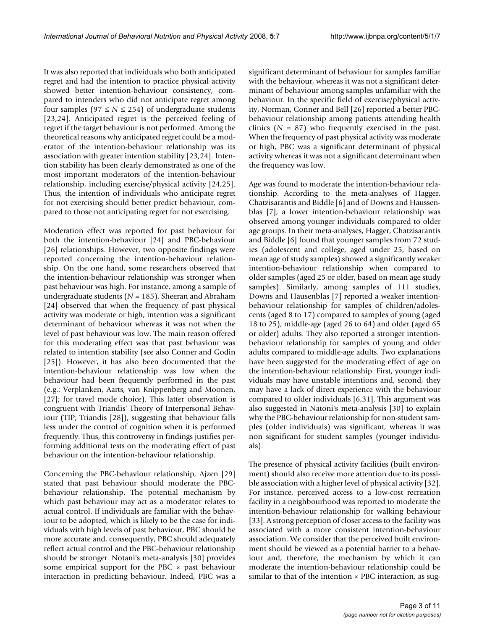It was also reported that individuals who both anticipated regret and had the intention to practice physical activity showed better intention-behaviour consistency, compared to intenders who did not anticipate regret among four samples ( $97 \le N \le 254$ ) of undergraduate students [23,24]. Anticipated regret is the perceived feeling of regret if the target behaviour is not performed. Among the theoretical reasons why anticipated regret could be a moderator of the intention-behaviour relationship was its association with greater intention stability [23,24]. Intention stability has been clearly demonstrated as one of the most important moderators of the intention-behaviour relationship, including exercise/physical activity [24,25]. Thus, the intention of individuals who anticipate regret for not exercising should better predict behaviour, compared to those not anticipating regret for not exercising.

Moderation effect was reported for past behaviour for both the intention-behaviour [24] and PBC-behaviour [26] relationships. However, two opposite findings were reported concerning the intention-behaviour relationship. On the one hand, some researchers observed that the intention-behaviour relationship was stronger when past behaviour was high. For instance, among a sample of undergraduate students (*N* = 185), Sheeran and Abraham [24] observed that when the frequency of past physical activity was moderate or high, intention was a significant determinant of behaviour whereas it was not when the level of past behaviour was low. The main reason offered for this moderating effect was that past behaviour was related to intention stability (see also Conner and Godin [25]). However, it has also been documented that the intention-behaviour relationship was low when the behaviour had been frequently performed in the past (e.g.: Verplanken, Aarts, van Knippenberg and Moonen, [27]; for travel mode choice). This latter observation is congruent with Triandis' Theory of Interpersonal Behaviour (TIP; Triandis [28]), suggesting that behaviour falls less under the control of cognition when it is performed frequently. Thus, this controversy in findings justifies performing additional tests on the moderating effect of past behaviour on the intention-behaviour relationship.

Concerning the PBC-behaviour relationship, Ajzen [29] stated that past behaviour should moderate the PBCbehaviour relationship. The potential mechanism by which past behaviour may act as a moderator relates to actual control. If individuals are familiar with the behaviour to be adopted, which is likely to be the case for individuals with high levels of past behaviour, PBC should be more accurate and, consequently, PBC should adequately reflect actual control and the PBC-behaviour relationship should be stronger. Notani's meta-analysis [30] provides some empirical support for the PBC  $\times$  past behaviour interaction in predicting behaviour. Indeed, PBC was a

significant determinant of behaviour for samples familiar with the behaviour, whereas it was not a significant determinant of behaviour among samples unfamiliar with the behaviour. In the specific field of exercise/physical activity, Norman, Conner and Bell [26] reported a better PBCbehaviour relationship among patients attending health clinics  $(N = 87)$  who frequently exercised in the past. When the frequency of past physical activity was moderate or high, PBC was a significant determinant of physical activity whereas it was not a significant determinant when the frequency was low.

Age was found to moderate the intention-behaviour relationship. According to the meta-analyses of Hagger, Chatzisarantis and Biddle [6] and of Downs and Haussenblas [7], a lower intention-behaviour relationship was observed among younger individuals compared to older age groups. In their meta-analyses, Hagger, Chatzisarantis and Biddle [6] found that younger samples from 72 studies (adolescent and college, aged under 25, based on mean age of study samples) showed a significantly weaker intention-behaviour relationship when compared to older samples (aged 25 or older, based on mean age study samples). Similarly, among samples of 111 studies, Downs and Hausenblas [7] reported a weaker intentionbehaviour relationship for samples of children/adolescents (aged 8 to 17) compared to samples of young (aged 18 to 25), middle-age (aged 26 to 64) and older (aged 65 or older) adults. They also reported a stronger intentionbehaviour relationship for samples of young and older adults compared to middle-age adults. Two explanations have been suggested for the moderating effect of age on the intention-behaviour relationship. First, younger individuals may have unstable intentions and, second, they may have a lack of direct experience with the behaviour compared to older individuals [6,31]. This argument was also suggested in Natoni's meta-analysis [30] to explain why the PBC-behaviour relationship for non-student samples (older individuals) was significant, whereas it was non significant for student samples (younger individuals).

The presence of physical activity facilities (built environment) should also receive more attention due to its possible association with a higher level of physical activity [32]. For instance, perceived access to a low-cost recreation facility in a neighbourhood was reported to moderate the intention-behaviour relationship for walking behaviour [33]. A strong perception of closer access to the facility was associated with a more consistent intention-behaviour association. We consider that the perceived built environment should be viewed as a potential barrier to a behaviour and, therefore, the mechanism by which it can moderate the intention-behaviour relationship could be similar to that of the intention  $\times$  PBC interaction, as sug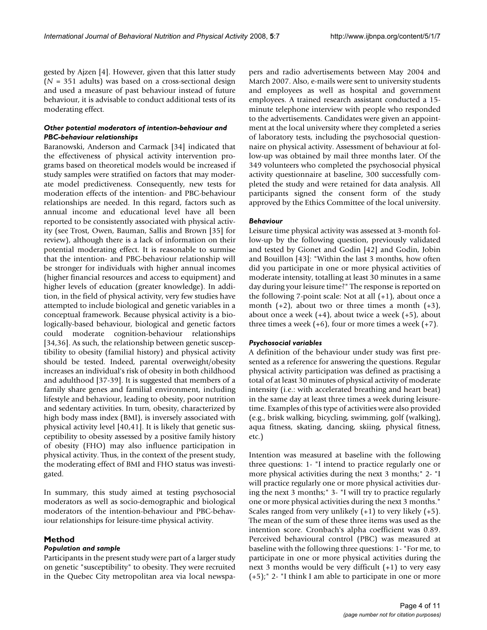gested by Ajzen [4]. However, given that this latter study  $(N = 351$  adults) was based on a cross-sectional design and used a measure of past behaviour instead of future behaviour, it is advisable to conduct additional tests of its moderating effect.

## *Other potential moderators of intention-behaviour and PBC-behaviour relationships*

Baranowski, Anderson and Carmack [34] indicated that the effectiveness of physical activity intervention programs based on theoretical models would be increased if study samples were stratified on factors that may moderate model predictiveness. Consequently, new tests for moderation effects of the intention- and PBC-behaviour relationships are needed. In this regard, factors such as annual income and educational level have all been reported to be consistently associated with physical activity (see Trost, Owen, Bauman, Sallis and Brown [35] for review), although there is a lack of information on their potential moderating effect. It is reasonable to surmise that the intention- and PBC-behaviour relationship will be stronger for individuals with higher annual incomes (higher financial resources and access to equipment) and higher levels of education (greater knowledge). In addition, in the field of physical activity, very few studies have attempted to include biological and genetic variables in a conceptual framework. Because physical activity is a biologically-based behaviour, biological and genetic factors could moderate cognition-behaviour relationships [34,36]. As such, the relationship between genetic susceptibility to obesity (familial history) and physical activity should be tested. Indeed, parental overweight/obesity increases an individual's risk of obesity in both childhood and adulthood [37-39]. It is suggested that members of a family share genes and familial environment, including lifestyle and behaviour, leading to obesity, poor nutrition and sedentary activities. In turn, obesity, characterized by high body mass index (BMI), is inversely associated with physical activity level [40,41]. It is likely that genetic susceptibility to obesity assessed by a positive family history of obesity (FHO) may also influence participation in physical activity. Thus, in the context of the present study, the moderating effect of BMI and FHO status was investigated.

In summary, this study aimed at testing psychosocial moderators as well as socio-demographic and biological moderators of the intention-behaviour and PBC-behaviour relationships for leisure-time physical activity.

# **Method**

#### *Population and sample*

Participants in the present study were part of a larger study on genetic "susceptibility" to obesity. They were recruited in the Quebec City metropolitan area via local newspapers and radio advertisements between May 2004 and March 2007. Also, e-mails were sent to university students and employees as well as hospital and government employees. A trained research assistant conducted a 15 minute telephone interview with people who responded to the advertisements. Candidates were given an appointment at the local university where they completed a series of laboratory tests, including the psychosocial questionnaire on physical activity. Assessment of behaviour at follow-up was obtained by mail three months later. Of the 349 volunteers who completed the psychosocial physical activity questionnaire at baseline, 300 successfully completed the study and were retained for data analysis. All participants signed the consent form of the study approved by the Ethics Committee of the local university.

# *Behaviour*

Leisure time physical activity was assessed at 3-month follow-up by the following question, previously validated and tested by Gionet and Godin [42] and Godin, Jobin and Bouillon [43]: "Within the last 3 months, how often did you participate in one or more physical activities of moderate intensity, totalling at least 30 minutes in a same day during your leisure time?" The response is reported on the following 7-point scale: Not at all  $(+1)$ , about once a month  $(+2)$ , about two or three times a month  $(+3)$ , about once a week  $(+4)$ , about twice a week  $(+5)$ , about three times a week  $(+6)$ , four or more times a week  $(+7)$ .

#### *Psychosocial variables*

A definition of the behaviour under study was first presented as a reference for answering the questions. Regular physical activity participation was defined as practising a total of at least 30 minutes of physical activity of moderate intensity (i.e.: with accelerated breathing and heart beat) in the same day at least three times a week during leisuretime. Examples of this type of activities were also provided (e.g., brisk walking, bicycling, swimming, golf (walking), aqua fitness, skating, dancing, skiing, physical fitness, etc.)

Intention was measured at baseline with the following three questions: 1- "I intend to practice regularly one or more physical activities during the next 3 months;" 2- "I will practice regularly one or more physical activities during the next 3 months;" 3- "I will try to practice regularly one or more physical activities during the next 3 months." Scales ranged from very unlikely  $(+1)$  to very likely  $(+5)$ . The mean of the sum of these three items was used as the intention score. Cronbach's alpha coefficient was 0.89. Perceived behavioural control (PBC) was measured at baseline with the following three questions: 1- "For me, to participate in one or more physical activities during the next 3 months would be very difficult (+1) to very easy (+5);" 2- "I think I am able to participate in one or more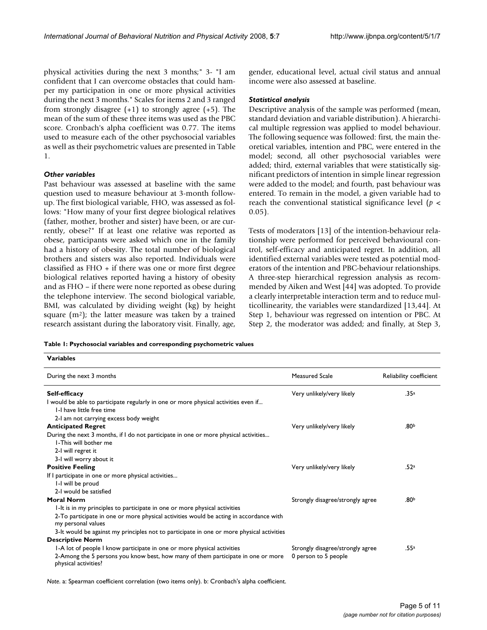physical activities during the next 3 months;" 3- "I am confident that I can overcome obstacles that could hamper my participation in one or more physical activities during the next 3 months." Scales for items 2 and 3 ranged from strongly disagree  $(+1)$  to strongly agree  $(+5)$ . The mean of the sum of these three items was used as the PBC score. Cronbach's alpha coefficient was 0.77. The items used to measure each of the other psychosocial variables as well as their psychometric values are presented in Table 1.

# *Other variables*

**Variables**

Past behaviour was assessed at baseline with the same question used to measure behaviour at 3-month followup. The first biological variable, FHO, was assessed as follows: "How many of your first degree biological relatives (father, mother, brother and sister) have been, or are currently, obese?" If at least one relative was reported as obese, participants were asked which one in the family had a history of obesity. The total number of biological brothers and sisters was also reported. Individuals were classified as FHO + if there was one or more first degree biological relatives reported having a history of obesity and as FHO – if there were none reported as obese during the telephone interview. The second biological variable, BMI, was calculated by dividing weight (kg) by height square  $(m^2)$ ; the latter measure was taken by a trained research assistant during the laboratory visit. Finally, age,

gender, educational level, actual civil status and annual income were also assessed at baseline.

## *Statistical analysis*

Descriptive analysis of the sample was performed (mean, standard deviation and variable distribution). A hierarchical multiple regression was applied to model behaviour. The following sequence was followed: first, the main theoretical variables, intention and PBC, were entered in the model; second, all other psychosocial variables were added; third, external variables that were statistically significant predictors of intention in simple linear regression were added to the model; and fourth, past behaviour was entered. To remain in the model, a given variable had to reach the conventional statistical significance level (*p* < 0.05).

Tests of moderators [13] of the intention-behaviour relationship were performed for perceived behavioural control, self-efficacy and anticipated regret. In addition, all identified external variables were tested as potential moderators of the intention and PBC-behaviour relationships. A three-step hierarchical regression analysis as recommended by Aiken and West [44] was adopted. To provide a clearly interpretable interaction term and to reduce multicollinearity, the variables were standardized [13,44]. At Step 1, behaviour was regressed on intention or PBC. At Step 2, the moderator was added; and finally, at Step 3,

| Table 1: Psychosocial variables and corresponding psychometric values |  |  |  |  |  |
|-----------------------------------------------------------------------|--|--|--|--|--|
|-----------------------------------------------------------------------|--|--|--|--|--|

| V ariables                                                                                                   |                                  |                         |
|--------------------------------------------------------------------------------------------------------------|----------------------------------|-------------------------|
| During the next 3 months                                                                                     | Measured Scale                   | Reliability coefficient |
| Self-efficacy                                                                                                | Very unlikely/very likely        | .35 <sup>a</sup>        |
| I would be able to participate regularly in one or more physical activities even if                          |                                  |                         |
| 1-I have little free time                                                                                    |                                  |                         |
| 2-I am not carrying excess body weight                                                                       |                                  |                         |
| <b>Anticipated Regret</b>                                                                                    | Very unlikely/very likely        | .80 <sup>b</sup>        |
| During the next 3 months, if I do not participate in one or more physical activities                         |                                  |                         |
| I-This will bother me                                                                                        |                                  |                         |
| 2-I will regret it                                                                                           |                                  |                         |
| 3-I will worry about it                                                                                      |                                  |                         |
| <b>Positive Feeling</b>                                                                                      | Very unlikely/very likely        | .52 <sup>a</sup>        |
| If I participate in one or more physical activities                                                          |                                  |                         |
| I-I will be proud                                                                                            |                                  |                         |
| 2-I would be satisfied                                                                                       |                                  |                         |
| <b>Moral Norm</b>                                                                                            | Strongly disagree/strongly agree | .80 <sup>b</sup>        |
| I-It is in my principles to participate in one or more physical activities                                   |                                  |                         |
| 2-To participate in one or more physical activities would be acting in accordance with<br>my personal values |                                  |                         |
| 3-It would be against my principles not to participate in one or more physical activities                    |                                  |                         |
| <b>Descriptive Norm</b>                                                                                      |                                  |                         |
| I-A lot of people I know participate in one or more physical activities                                      | Strongly disagree/strongly agree | .55ª                    |
| 2-Among the 5 persons you know best, how many of them participate in one or more<br>physical activities?     | 0 person to 5 people             |                         |

*Note*. a: Spearman coefficient correlation (two items only). b: Cronbach's alpha coefficient.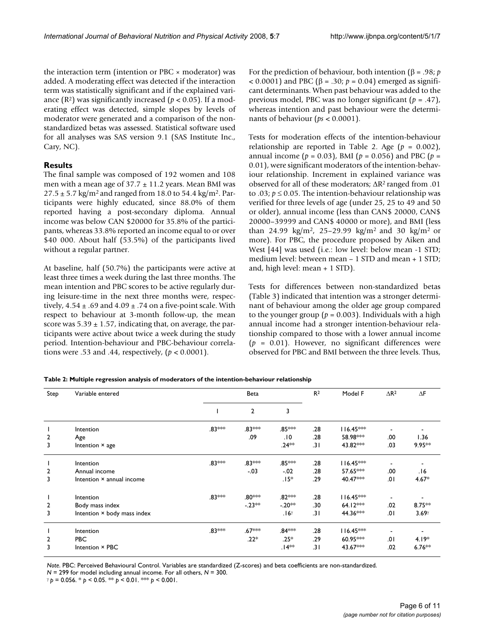the interaction term (intention or PBC  $\times$  moderator) was added. A moderating effect was detected if the interaction term was statistically significant and if the explained variance  $(R^2)$  was significantly increased  $(p < 0.05)$ . If a moderating effect was detected, simple slopes by levels of moderator were generated and a comparison of the nonstandardized betas was assessed. Statistical software used for all analyses was SAS version 9.1 (SAS Institute Inc., Cary, NC).

# **Results**

The final sample was composed of 192 women and 108 men with a mean age of  $37.7 \pm 11.2$  years. Mean BMI was  $27.5 \pm 5.7$  kg/m<sup>2</sup> and ranged from 18.0 to 54.4 kg/m<sup>2</sup>. Participants were highly educated, since 88.0% of them reported having a post-secondary diploma. Annual income was below CAN \$20000 for 35.8% of the participants, whereas 33.8% reported an income equal to or over \$40 000. About half (53.5%) of the participants lived without a regular partner.

At baseline, half (50.7%) the participants were active at least three times a week during the last three months. The mean intention and PBC scores to be active regularly during leisure-time in the next three months were, respectively,  $4.54 \pm .69$  and  $4.09 \pm .74$  on a five-point scale. With respect to behaviour at 3-month follow-up, the mean score was  $5.39 \pm 1.57$ , indicating that, on average, the participants were active about twice a week during the study period. Intention-behaviour and PBC-behaviour correlations were .53 and .44, respectively, (*p* < 0.0001).

For the prediction of behaviour, both intention (β = .98; *p* < 0.0001) and PBC (β = .30; *p* = 0.04) emerged as significant determinants. When past behaviour was added to the previous model, PBC was no longer significant (*p* = .47), whereas intention and past behaviour were the determinants of behaviour (*ps* < 0.0001).

Tests for moderation effects of the intention-behaviour relationship are reported in Table 2. Age  $(p = 0.002)$ , annual income (*p* = 0.03), BMI (*p* = 0.056) and PBC (*p* = 0.01), were significant moderators of the intention-behaviour relationship. Increment in explained variance was observed for all of these moderators; ∆R2 ranged from .01 to .03;  $p \le 0.05$ . The intention-behaviour relationship was verified for three levels of age (under 25, 25 to 49 and 50 or older), annual income (less than CAN\$ 20000, CAN\$ 20000–39999 and CAN\$ 40000 or more), and BMI (less than 24.99 kg/m<sup>2</sup>, 25–29.99 kg/m<sup>2</sup> and 30 kg/m<sup>2</sup> or more). For PBC, the procedure proposed by Aiken and West [44] was used (i.e.: low level: below mean -1 STD; medium level: between mean – 1 STD and mean + 1 STD; and, high level: mean + 1 STD).

Tests for differences between non-standardized betas (Table 3) indicated that intention was a stronger determinant of behaviour among the older age group compared to the younger group ( $p = 0.003$ ). Individuals with a high annual income had a stronger intention-behaviour relationship compared to those with a lower annual income (*p* = 0.01). However, no significant differences were observed for PBC and BMI between the three levels. Thus,

**Table 2: Multiple regression analysis of moderators of the intention-behaviour relationship**

| Step           | Variable entered            |        | Beta               |                    | R <sup>2</sup> | Model F     | $\Delta$ R <sup>2</sup>  | $\Delta F$      |
|----------------|-----------------------------|--------|--------------------|--------------------|----------------|-------------|--------------------------|-----------------|
|                |                             |        | $\overline{2}$     | 3                  |                |             |                          |                 |
|                | Intention                   | .83*** | .83***             | .85***             | .28            | $116.45***$ |                          |                 |
| $\overline{2}$ | Age                         |        | .09                | .10                | .28            | 58.98***    | .00                      | 1.36            |
| 3              | Intention × age             |        |                    | .24**              | .31            | 43.82***    | .03                      | $9.95***$       |
|                | Intention                   | .83*** | .83 ***            | .85 ***            | .28            | $116.45***$ |                          |                 |
| $\overline{2}$ | Annual income               |        | $-.03$             | $-0.02$            | .28            | 57.65***    | .00                      | 16.             |
| 3              | Intention × annual income   |        |                    | .15*               | .29            | 40.47***    | .01                      | $4.67*$         |
|                | Intention                   | .83*** | .80***             | .82***             | .28            | $116.45***$ |                          |                 |
| $\overline{2}$ | Body mass index             |        | $-23**$            | $-20**$            | .30            | $64.12***$  | .02                      | $8.75***$       |
| 3              | Intention × body mass index |        |                    | .16 <sup>γ</sup>   | .31            | 44.36***    | .01                      | $3.69^{\gamma}$ |
|                | Intention                   | .83*** | .67 <sup>***</sup> | .84 <sup>***</sup> | .28            | $116.45***$ | $\overline{\phantom{a}}$ |                 |
| $\overline{2}$ | <b>PBC</b>                  |        | $22*$              | $.25*$             | .29            | 60.95***    | .01                      | $4.19*$         |
| 3              | Intention × PBC             |        |                    | .∣4**              | .31            | 43.67***    | .02                      | $6.76***$       |

*Note*. PBC: Perceived Behavioural Control. Variables are standardized (Z-scores) and beta coefficients are non-standardized. *N* = 299 for model including annual income. For all others, *N* = 300.

 $\gamma p = 0.056$ . \*  $p < 0.05$ . \*\*  $p < 0.01$ . \*\*\*  $p < 0.001$ .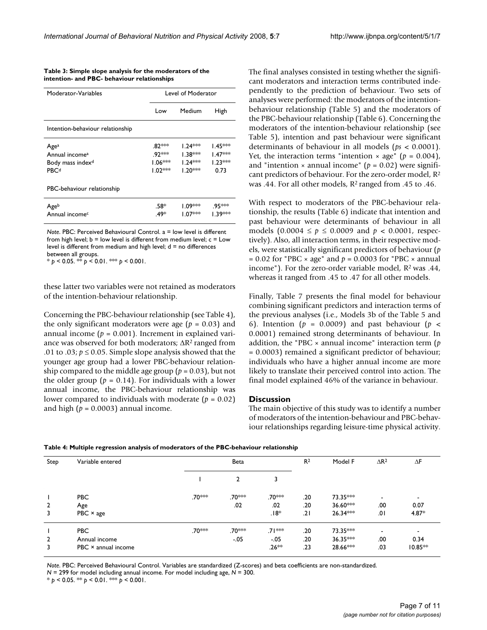| Moderator-Variables              | Level of Moderator |                      |                     |  |
|----------------------------------|--------------------|----------------------|---------------------|--|
|                                  | Low                | Medium               | High                |  |
| Intention-behaviour relationship |                    |                      |                     |  |
| Age <sup>a</sup>                 | .82***             | $1.24***$            | l.45 <sup>∗≈≈</sup> |  |
| Annual income <sup>a</sup>       | .92 ***            | l.38 <sup>≭⇔⊱≮</sup> | $1.47***$           |  |
| Body mass index <sup>d</sup>     | $1.06***$          | $1.24***$            | $1.23***$           |  |
| <b>PBCd</b>                      | $1.02***$          | $1.20***$            | 0.73                |  |
| PBC-behaviour relationship       |                    |                      |                     |  |
| Ageb                             | .58*               | $1.09***$            | .95***              |  |
| Annual income <sup>c</sup>       | .49*               | I.07***              | । 39***             |  |

**Table 3: Simple slope analysis for the moderators of the intention- and PBC- behaviour relationships**

*Note*. PBC: Perceived Behavioural Control. a = low level is different from high level;  $b = low$  level is different from medium level;  $c = Low$ level is different from medium and high level; d = no differences between all groups.

\* *p* < 0.05. \*\* *p* < 0.01. \*\*\* *p* < 0.001.

these latter two variables were not retained as moderators of the intention-behaviour relationship.

Concerning the PBC-behaviour relationship (see Table 4), the only significant moderators were age  $(p = 0.03)$  and annual income ( $p = 0.001$ ). Increment in explained variance was observed for both moderators; ∆R2 ranged from .01 to .03;  $p \le 0.05$ . Simple slope analysis showed that the younger age group had a lower PBC-behaviour relationship compared to the middle age group ( $p = 0.03$ ), but not the older group ( $p = 0.14$ ). For individuals with a lower annual income, the PBC-behaviour relationship was lower compared to individuals with moderate (*p* = 0.02) and high  $(p = 0.0003)$  annual income.

The final analyses consisted in testing whether the significant moderators and interaction terms contributed independently to the prediction of behaviour. Two sets of analyses were performed: the moderators of the intentionbehaviour relationship (Table 5) and the moderators of the PBC-behaviour relationship (Table 6). Concerning the moderators of the intention-behaviour relationship (see Table 5), intention and past behaviour were significant determinants of behaviour in all models (*ps* < 0.0001). Yet, the interaction terms "intention  $\times$  age" ( $p = 0.004$ ), and "intention  $\times$  annual income" ( $p = 0.02$ ) were significant predictors of behaviour. For the zero-order model, R2 was .44. For all other models, R2 ranged from .45 to .46.

With respect to moderators of the PBC-behaviour relationship, the results (Table 6) indicate that intention and past behaviour were determinants of behaviour in all models (0.0004 ≤ *p* ≤ 0.0009 and *p* < 0.0001, respectively). Also, all interaction terms, in their respective models, were statistically significant predictors of behaviour (*p* = 0.02 for "PBC  $\times$  age" and  $p = 0.0003$  for "PBC  $\times$  annual income"). For the zero-order variable model, R2 was .44, whereas it ranged from .45 to .47 for all other models.

Finally, Table 7 presents the final model for behaviour combining significant predictors and interaction terms of the previous analyses (i.e., Models 3b of the Table 5 and 6). Intention ( $p = 0.0009$ ) and past behaviour ( $p <$ 0.0001) remained strong determinants of behaviour. In addition, the "PBC × annual income" interaction term (*p* = 0.0003) remained a significant predictor of behaviour; individuals who have a higher annual income are more likely to translate their perceived control into action. The final model explained 46% of the variance in behaviour.

#### **Discussion**

The main objective of this study was to identify a number of moderators of the intention-behaviour and PBC-behaviour relationships regarding leisure-time physical activity.

| Step           | Variable entered    |         | Beta           |         | R <sup>2</sup> | Model F    | $\Delta$ R <sup>2</sup> | ΔF                       |
|----------------|---------------------|---------|----------------|---------|----------------|------------|-------------------------|--------------------------|
|                |                     |         | $\overline{2}$ | 3       |                |            |                         |                          |
|                | <b>PBC</b>          | .70 *** | .70***         | .70***  | .20            | 73.35***   | <b>.</b>                | $\overline{\phantom{a}}$ |
| $\overline{2}$ | Age                 |         | .02            | .02     | .20            | 36.60***   | .00                     | 0.07                     |
| 3              | $PBC \times age$    |         |                | $.18*$  | ا 2.           | 26.34***   | .01                     | $4.87*$                  |
|                | <b>PBC</b>          | .70***  | .70***         | .7Ⅰ***  | .20            | 73.35***   | <b>.</b>                | $\blacksquare$           |
| $\overline{2}$ | Annual income       |         | $-05$          | $-.05$  | .20            | $36.35***$ | .00                     | 0.34                     |
| 3              | PBC × annual income |         |                | $.26**$ | .23            | 28.66***   | .03                     | $10.85**$                |

**Table 4: Multiple regression analysis of moderators of the PBC-behaviour relationship**

*Note*. PBC: Perceived Behavioural Control. Variables are standardized (Z-scores) and beta coefficients are non-standardized. *N* = 299 for model including annual income. For model including age, *N* = 300.

 $* p < 0.05$ . \*\*  $p < 0.01$ . \*\*\*  $p < 0.001$ .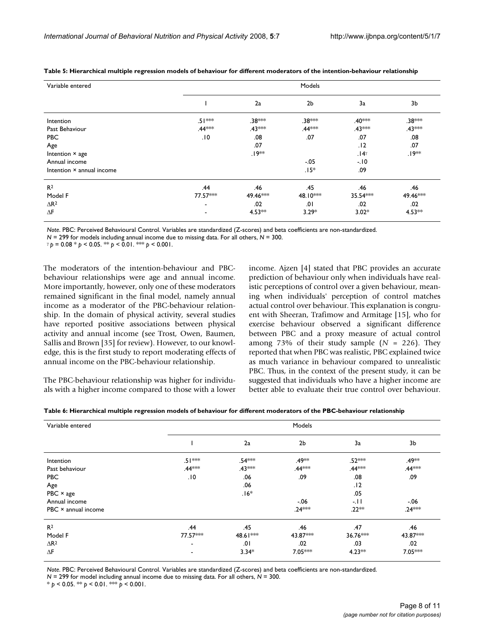| Variable entered          | Models                   |                    |                    |             |                    |  |
|---------------------------|--------------------------|--------------------|--------------------|-------------|--------------------|--|
|                           |                          | 2a                 | 2 <sub>b</sub>     | 3a          | 3b                 |  |
| Intention                 | $.51***$                 | .38***             | .38***             | .40***      | .38 <sup>*</sup> * |  |
| Past Behaviour            | .44 <sup>***</sup>       | .43 ***            | .44 <sup>***</sup> | $.43***$    | .43***             |  |
| <b>PBC</b>                | .10                      | .08                | .07                | .07         | .08                |  |
| Age                       |                          | .07                |                    | .12         | .07                |  |
| Intention × age           |                          | .19 <sup>*</sup> * |                    | $.14\gamma$ | .19**              |  |
| Annual income             |                          |                    | $-0.05$            | $-10$       |                    |  |
| Intention × annual income |                          |                    | $.15*$             | .09         |                    |  |
| R <sup>2</sup>            | .44                      | .46                | .45                | .46         | .46                |  |
| Model F                   | 77.57***                 | 49.46***           | 48.10***           | $35.54***$  | 49.46***           |  |
| $\Delta$ R <sup>2</sup>   | $\overline{\phantom{a}}$ | .02                | .01                | .02         | .02                |  |
| $\Delta F$                | ٠                        | $4.53**$           | $3.29*$            | $3.02*$     | $4.53***$          |  |

**Table 5: Hierarchical multiple regression models of behaviour for different moderators of the intention-behaviour relationship**

*Note*. PBC: Perceived Behavioural Control. Variables are standardized (Z-scores) and beta coefficients are non-standardized.

 $\gamma p = 0.08 * p < 0.05$ . \*\*  $p < 0.01$ . \*\*\*  $p < 0.001$ .

The moderators of the intention-behaviour and PBCbehaviour relationships were age and annual income. More importantly, however, only one of these moderators remained significant in the final model, namely annual income as a moderator of the PBC-behaviour relationship. In the domain of physical activity, several studies have reported positive associations between physical activity and annual income (see Trost, Owen, Baumen, Sallis and Brown [35] for review). However, to our knowledge, this is the first study to report moderating effects of annual income on the PBC-behaviour relationship.

The PBC-behaviour relationship was higher for individuals with a higher income compared to those with a lower income. Ajzen [4] stated that PBC provides an accurate prediction of behaviour only when individuals have realistic perceptions of control over a given behaviour, meaning when individuals' perception of control matches actual control over behaviour. This explanation is congruent with Sheeran, Trafimow and Armitage [15], who for exercise behaviour observed a significant difference between PBC and a proxy measure of actual control among 73% of their study sample (*N* = 226). They reported that when PBC was realistic, PBC explained twice as much variance in behaviour compared to unrealistic PBC. Thus, in the context of the present study, it can be suggested that individuals who have a higher income are better able to evaluate their true control over behaviour.

| Table 6: Hierarchical multiple regression models of behaviour for different moderators of the PBC-behaviour relationship |
|--------------------------------------------------------------------------------------------------------------------------|
|--------------------------------------------------------------------------------------------------------------------------|

| Variable entered        | Models                   |                    |                |                    |                    |  |  |
|-------------------------|--------------------------|--------------------|----------------|--------------------|--------------------|--|--|
|                         |                          | 2a                 | 2 <sub>b</sub> | 3a                 | 3b                 |  |  |
| Intention               | $.51***$                 | .54 <sup>***</sup> | .49 **         | .52 <sup>**</sup>  | .49 <sup>*</sup>   |  |  |
| Past behaviour          | .44***                   | .43***             | .44***         | .44 <sup>***</sup> | .44 <sup>***</sup> |  |  |
| <b>PBC</b>              | .10                      | .06                | .09            | .08                | .09                |  |  |
| Age                     |                          | .06                |                | .12                |                    |  |  |
| $PBC \times age$        |                          | $.16*$             |                | .05                |                    |  |  |
| Annual income           |                          |                    | $-.06$         | -.11               | $-0.06$            |  |  |
| PBC × annual income     |                          |                    | $.24***$       | $.22**$            | $.24***$           |  |  |
| R <sup>2</sup>          | .44                      | .45                | .46            | .47                | .46                |  |  |
| Model F                 | 77.57***                 | 48.61***           | 43.87***       | 36.76***           | 43.87***           |  |  |
| $\Delta$ R <sup>2</sup> | $\overline{\phantom{a}}$ | .01                | .02            | .03                | .02                |  |  |
| $\Delta F$              |                          | $3.34*$            | 7.05***        | $4.23***$          | 7.05***            |  |  |

*Note*. PBC: Perceived Behavioural Control. Variables are standardized (Z-scores) and beta coefficients are non-standardized. *N* = 299 for model including annual income due to missing data. For all others, *N* = 300.

 $* p < 0.05$ . \*\*  $p < 0.01$ . \*\*  $p < 0.001$ .

*N* = 299 for models including annual income due to missing data. For all others, *N* = 300.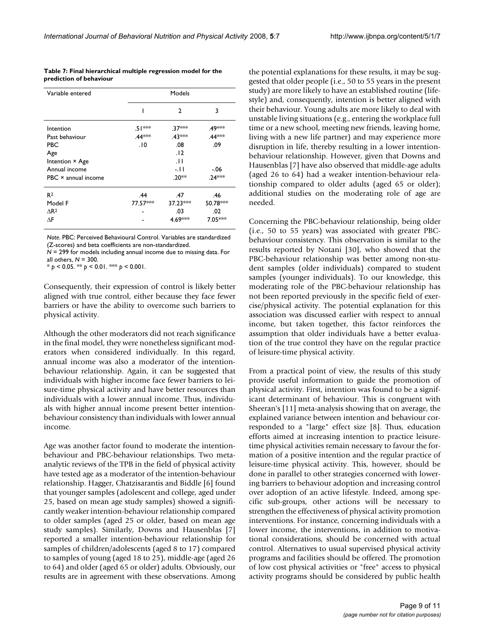**Table 7: Final hierarchical multiple regression model for the prediction of behaviour**

| Variable entered    | Models             |                   |                   |  |  |  |
|---------------------|--------------------|-------------------|-------------------|--|--|--|
|                     | ı                  | $\mathfrak{p}$    | 3                 |  |  |  |
| Intention           | .51 **             | .37 <sup>**</sup> | .49 <sup>≭≫</sup> |  |  |  |
| Past behaviour      | .44 <sup>***</sup> | .43 ***           | .44***            |  |  |  |
| PBC                 | 10.                | .08               | .09               |  |  |  |
| Age                 |                    | .12               |                   |  |  |  |
| Intention × Age     |                    | $\Box$            |                   |  |  |  |
| Annual income       |                    | -.II              | $-.06$            |  |  |  |
| PBC × annual income |                    | .20**             | .24***            |  |  |  |
| R <sup>2</sup>      | .44                | .47               | .46               |  |  |  |
| Model F             | 77.57***           | $37.23***$        | 50.78***          |  |  |  |
| AR <sup>2</sup>     |                    | .03               | .02               |  |  |  |
| ΛF                  |                    | 4.69***           | 7.05***           |  |  |  |

*Note*. PBC: Perceived Behavioural Control. Variables are standardized (Z-scores) and beta coefficients are non-standardized.

*N* = 299 for models including annual income due to missing data. For all others, *N* = 300.

 $* p < 0.05$ . \*\*  $p < 0.01$ . \*\*\*  $p < 0.001$ .

Consequently, their expression of control is likely better aligned with true control, either because they face fewer barriers or have the ability to overcome such barriers to physical activity.

Although the other moderators did not reach significance in the final model, they were nonetheless significant moderators when considered individually. In this regard, annual income was also a moderator of the intentionbehaviour relationship. Again, it can be suggested that individuals with higher income face fewer barriers to leisure-time physical activity and have better resources than individuals with a lower annual income. Thus, individuals with higher annual income present better intentionbehaviour consistency than individuals with lower annual income.

Age was another factor found to moderate the intentionbehaviour and PBC-behaviour relationships. Two metaanalytic reviews of the TPB in the field of physical activity have tested age as a moderator of the intention-behaviour relationship. Hagger, Chatzisarantis and Biddle [6] found that younger samples (adolescent and college, aged under 25, based on mean age study samples) showed a significantly weaker intention-behaviour relationship compared to older samples (aged 25 or older, based on mean age study samples). Similarly, Downs and Hausenblas [7] reported a smaller intention-behaviour relationship for samples of children/adolescents (aged 8 to 17) compared to samples of young (aged 18 to 25), middle-age (aged 26 to 64) and older (aged 65 or older) adults. Obviously, our results are in agreement with these observations. Among the potential explanations for these results, it may be suggested that older people (i.e., 50 to 55 years in the present study) are more likely to have an established routine (lifestyle) and, consequently, intention is better aligned with their behaviour. Young adults are more likely to deal with unstable living situations (e.g., entering the workplace full time or a new school, meeting new friends, leaving home, living with a new life partner) and may experience more disruption in life, thereby resulting in a lower intentionbehaviour relationship. However, given that Downs and Hausenblas [7] have also observed that middle-age adults (aged 26 to 64) had a weaker intention-behaviour relationship compared to older adults (aged 65 or older); additional studies on the moderating role of age are needed.

Concerning the PBC-behaviour relationship, being older (i.e., 50 to 55 years) was associated with greater PBCbehaviour consistency. This observation is similar to the results reported by Notani [30], who showed that the PBC-behaviour relationship was better among non-student samples (older individuals) compared to student samples (younger individuals). To our knowledge, this moderating role of the PBC-behaviour relationship has not been reported previously in the specific field of exercise/physical activity. The potential explanation for this association was discussed earlier with respect to annual income, but taken together, this factor reinforces the assumption that older individuals have a better evaluation of the true control they have on the regular practice of leisure-time physical activity.

From a practical point of view, the results of this study provide useful information to guide the promotion of physical activity. First, intention was found to be a significant determinant of behaviour. This is congruent with Sheeran's [11] meta-analysis showing that on average, the explained variance between intention and behaviour corresponded to a "large" effect size [8]. Thus, education efforts aimed at increasing intention to practice leisuretime physical activities remain necessary to favour the formation of a positive intention and the regular practice of leisure-time physical activity. This, however, should be done in parallel to other strategies concerned with lowering barriers to behaviour adoption and increasing control over adoption of an active lifestyle. Indeed, among specific sub-groups, other actions will be necessary to strengthen the effectiveness of physical activity promotion interventions. For instance, concerning individuals with a lower income, the interventions, in addition to motivational considerations, should be concerned with actual control. Alternatives to usual supervised physical activity programs and facilities should be offered. The promotion of low cost physical activities or "free" access to physical activity programs should be considered by public health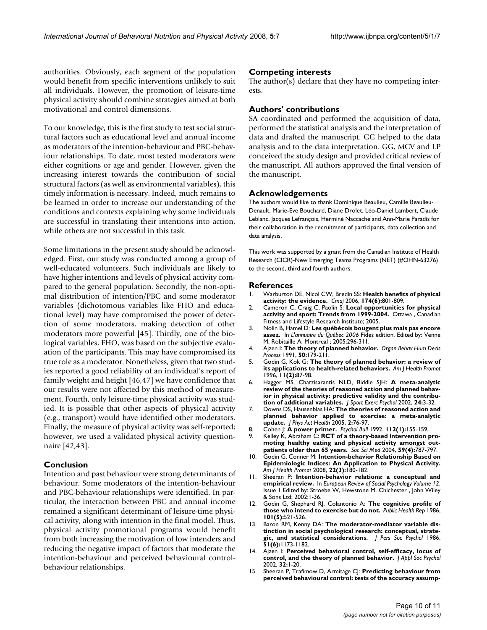authorities. Obviously, each segment of the population would benefit from specific interventions unlikely to suit all individuals. However, the promotion of leisure-time physical activity should combine strategies aimed at both motivational and control dimensions.

To our knowledge, this is the first study to test social structural factors such as educational level and annual income as moderators of the intention-behaviour and PBC-behaviour relationships. To date, most tested moderators were either cognitions or age and gender. However, given the increasing interest towards the contribution of social structural factors (as well as environmental variables), this timely information is necessary. Indeed, much remains to be learned in order to increase our understanding of the conditions and contexts explaining why some individuals are successful in translating their intentions into action, while others are not successful in this task.

Some limitations in the present study should be acknowledged. First, our study was conducted among a group of well-educated volunteers. Such individuals are likely to have higher intentions and levels of physical activity compared to the general population. Secondly, the non-optimal distribution of intention/PBC and some moderator variables (dichotomous variables like FHO and educational level) may have compromised the power of detection of some moderators, making detection of other moderators more powerful [45]. Thirdly, one of the biological variables, FHO, was based on the subjective evaluation of the participants. This may have compromised its true role as a moderator. Nonetheless, given that two studies reported a good reliability of an individual's report of family weight and height [46,47] we have confidence that our results were not affected by this method of measurement. Fourth, only leisure-time physical activity was studied. It is possible that other aspects of physical activity (e.g., transport) would have identified other moderators. Finally, the measure of physical activity was self-reported; however, we used a validated physical activity questionnaire [42,43].

#### **Conclusion**

Intention and past behaviour were strong determinants of behaviour. Some moderators of the intention-behaviour and PBC-behaviour relationships were identified. In particular, the interaction between PBC and annual income remained a significant determinant of leisure-time physical activity, along with intention in the final model. Thus, physical activity promotional programs would benefit from both increasing the motivation of low intenders and reducing the negative impact of factors that moderate the intention-behaviour and perceived behavioural controlbehaviour relationships.

#### **Competing interests**

The author(s) declare that they have no competing interests.

# **Authors' contributions**

SA coordinated and performed the acquisition of data, performed the statistical analysis and the interpretation of data and drafted the manuscript. GG helped to the data analysis and to the data interpretation. GG, MCV and LP conceived the study design and provided critical review of the manuscript. All authors approved the final version of the manuscript.

#### **Acknowledgements**

The authors would like to thank Dominique Beaulieu, Camille Beaulieu-Denault, Marie-Eve Bouchard, Diane Drolet, Léo-Daniel Lambert, Claude Leblanc, Jacques Lefrançois, Herminé Naccache and Ann-Marie Paradis for their collaboration in the recruitment of participants, data collection and data analysis.

This work was supported by a grant from the Canadian Institute of Health Research (CICR)-New Emerging Teams Programs (NET) (#OHN-63276) to the second, third and fourth authors.

#### **References**

- 1. Warburton DE, Nicol CW, Bredin SS: **[Health benefits of physical](http://www.ncbi.nlm.nih.gov/entrez/query.fcgi?cmd=Retrieve&db=PubMed&dopt=Abstract&list_uids=16534088) [activity: the evidence.](http://www.ncbi.nlm.nih.gov/entrez/query.fcgi?cmd=Retrieve&db=PubMed&dopt=Abstract&list_uids=16534088)** *Cmaj* 2006, **174(6):**801-809.
- 2. Cameron C, Craig C, Paolin S: **Local opportunities for physical activity and sport: Trends from 1999-2004.** Ottawa , Canadian Fitness and Lifestyle Research Institute; 2005.
- 3. Nolin B, Hamel D: **Les québécois bougent plus mais pas encore assez.** In *L'annuaire du Québec 2006* Fides edition. Edited by: Venne M, Robitaille A. Montreal ; 2005:296-311.
- 4. Ajzen I: **The theory of planned behavior.** *Organ Behav Hum Decis Process* 1991, **50:**179-211.
- 5. Godin G, Kok G: **[The theory of planned behavior: a review of](http://www.ncbi.nlm.nih.gov/entrez/query.fcgi?cmd=Retrieve&db=PubMed&dopt=Abstract&list_uids=10163601) [its applications to health-related behaviors.](http://www.ncbi.nlm.nih.gov/entrez/query.fcgi?cmd=Retrieve&db=PubMed&dopt=Abstract&list_uids=10163601)** *Am J Health Promot* 1996, **11(2):**87-98.
- 6. Hagger MS, Chatzisarantis NLD, Biddle SJH: **A meta-analytic review of the theories of reasoned action and planned behavior in physical activity: predictive validity and the contribution of additional variables.** *J Sport Exerc Psychol* 2002, **24:**3-32.
- 7. Downs DS, Hausenblas HA: **The theories of reasoned action and planned behavior applied to exercise: a meta-analytic update.** *J Phys Act Health* 2005, **2:**76-97.
- 8. Cohen J: **A power primer.** *Psychol Bull* 1992, **112(1):**155-159.
- Kelley K, Abraham C: [RCT of a theory-based intervention pro](http://www.ncbi.nlm.nih.gov/entrez/query.fcgi?cmd=Retrieve&db=PubMed&dopt=Abstract&list_uids=15177835)**[moting healthy eating and physical activity amongst out](http://www.ncbi.nlm.nih.gov/entrez/query.fcgi?cmd=Retrieve&db=PubMed&dopt=Abstract&list_uids=15177835)[patients older than 65 years.](http://www.ncbi.nlm.nih.gov/entrez/query.fcgi?cmd=Retrieve&db=PubMed&dopt=Abstract&list_uids=15177835)** *Soc Sci Med* 2004, **59(4):**787-797.
- 10. Godin G, Conner M: **[Intention-behavior Relationship Based on](http://www.ncbi.nlm.nih.gov/entrez/query.fcgi?cmd=Retrieve&db=PubMed&dopt=Abstract&list_uids=18251118) [Epidemiologic Indices: An Application to Physical Activity.](http://www.ncbi.nlm.nih.gov/entrez/query.fcgi?cmd=Retrieve&db=PubMed&dopt=Abstract&list_uids=18251118)** *Am J Health Promot* 2008, **22(3):**180-182.
- 11. Sheeran P: **Intention-behavior relations: a conceptual and empirical review.** In *European Review of Social Psychology Volume 12*. Issue 1 Edited by: Stroebe W, Hewstone M. Chichester , John Wiley & Sons Ltd; 2002:1-36.
- 12. Godin G, Shephard RJ, Colantonio A: **[The cognitive profile of](http://www.ncbi.nlm.nih.gov/entrez/query.fcgi?cmd=Retrieve&db=PubMed&dopt=Abstract&list_uids=3094084) [those who intend to exercise but do not.](http://www.ncbi.nlm.nih.gov/entrez/query.fcgi?cmd=Retrieve&db=PubMed&dopt=Abstract&list_uids=3094084)** *Public Health Rep* 1986, **101(5):**521-526.
- 13. Baron RM, Kenny DA: **[The moderator-mediator variable dis](http://www.ncbi.nlm.nih.gov/entrez/query.fcgi?cmd=Retrieve&db=PubMed&dopt=Abstract&list_uids=3806354)[tinction in social psychological research: conceptual, strate](http://www.ncbi.nlm.nih.gov/entrez/query.fcgi?cmd=Retrieve&db=PubMed&dopt=Abstract&list_uids=3806354)[gic, and statistical considerations.](http://www.ncbi.nlm.nih.gov/entrez/query.fcgi?cmd=Retrieve&db=PubMed&dopt=Abstract&list_uids=3806354)** *J Pers Soc Psychol* 1986, **51(6):**1173-1182.
- 14. Ajzen I: **Perceived behavioral control, self-efficacy, locus of control, and the theory of planned behavior.** *J Appl Soc Psychol* 2002, **32:**1-20.
- 15. Sheeran P, Trafimow D, Armitage CJ: **[Predicting behaviour from](http://www.ncbi.nlm.nih.gov/entrez/query.fcgi?cmd=Retrieve&db=PubMed&dopt=Abstract&list_uids=14567844) [perceived behavioural control: tests of the accuracy assump](http://www.ncbi.nlm.nih.gov/entrez/query.fcgi?cmd=Retrieve&db=PubMed&dopt=Abstract&list_uids=14567844)-**